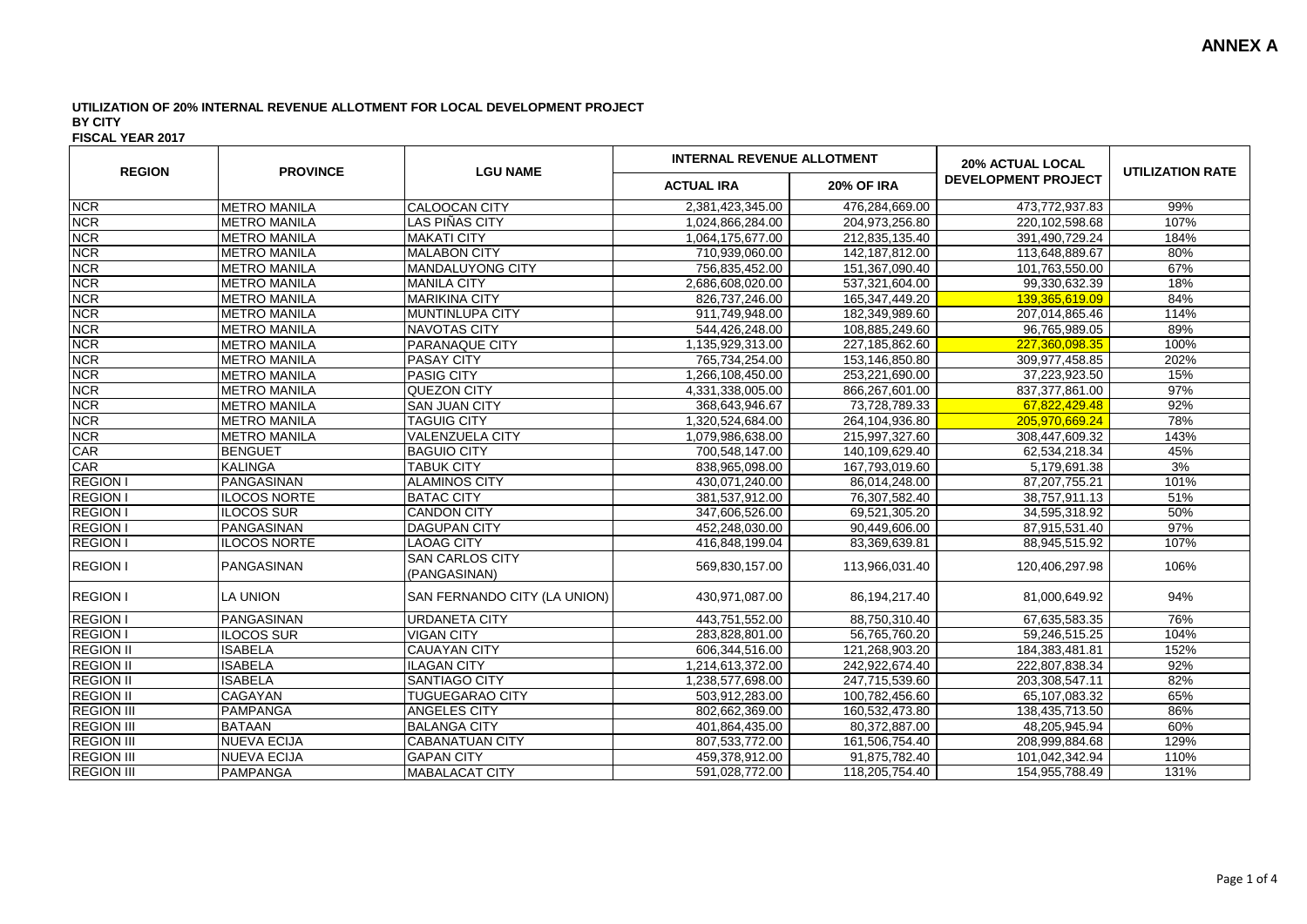| <b>REGION</b>     | <b>PROVINCE</b>     | <b>LGU NAME</b>                        | <b>INTERNAL REVENUE ALLOTMENT</b> |                   | <b>20% ACTUAL LOCAL</b>    |                         |
|-------------------|---------------------|----------------------------------------|-----------------------------------|-------------------|----------------------------|-------------------------|
|                   |                     |                                        | <b>ACTUAL IRA</b>                 | <b>20% OF IRA</b> | <b>DEVELOPMENT PROJECT</b> | <b>UTILIZATION RATE</b> |
| <b>NCR</b>        | <b>METRO MANILA</b> | <b>CALOOCAN CITY</b>                   | 2,381,423,345.00                  | 476,284,669.00    | 473,772,937.83             | 99%                     |
| <b>NCR</b>        | <b>METRO MANILA</b> | LAS PIÑAS CITY                         | 1,024,866,284.00                  | 204,973,256.80    | 220,102,598.68             | 107%                    |
| <b>NCR</b>        | <b>METRO MANILA</b> | <b>MAKATI CITY</b>                     | 1,064,175,677.00                  | 212,835,135.40    | 391,490,729.24             | 184%                    |
| <b>NCR</b>        | <b>METRO MANILA</b> | <b>MALABON CITY</b>                    | 710,939,060.00                    | 142,187,812.00    | 113,648,889.67             | 80%                     |
| <b>NCR</b>        | <b>METRO MANILA</b> | <b>MANDALUYONG CITY</b>                | 756,835,452.00                    | 151,367,090.40    | 101,763,550.00             | 67%                     |
| <b>NCR</b>        | <b>METRO MANILA</b> | <b>MANILA CITY</b>                     | 2,686,608,020.00                  | 537,321,604.00    | 99,330,632.39              | 18%                     |
| <b>NCR</b>        | <b>METRO MANILA</b> | <b>MARIKINA CITY</b>                   | 826,737,246.00                    | 165,347,449.20    | 139,365,619.09             | 84%                     |
| <b>NCR</b>        | <b>METRO MANILA</b> | MUNTINLUPA CITY                        | 911,749,948.00                    | 182,349,989.60    | 207,014,865.46             | 114%                    |
| <b>NCR</b>        | <b>METRO MANILA</b> | NAVOTAS CITY                           | 544,426,248.00                    | 108,885,249.60    | 96,765,989.05              | 89%                     |
| <b>NCR</b>        | <b>METRO MANILA</b> | <b>PARANAQUE CITY</b>                  | 1,135,929,313.00                  | 227,185,862.60    | 227,360,098.35             | 100%                    |
| <b>NCR</b>        | <b>METRO MANILA</b> | <b>PASAY CITY</b>                      | 765,734,254.00                    | 153,146,850.80    | 309,977,458.85             | 202%                    |
| <b>NCR</b>        | <b>METRO MANILA</b> | <b>PASIG CITY</b>                      | 1,266,108,450.00                  | 253,221,690.00    | 37,223,923.50              | 15%                     |
| <b>NCR</b>        | <b>METRO MANILA</b> | QUEZON CITY                            | 4,331,338,005.00                  | 866,267,601.00    | 837, 377, 861.00           | 97%                     |
| <b>NCR</b>        | <b>METRO MANILA</b> | <b>SAN JUAN CITY</b>                   | 368,643,946.67                    | 73,728,789.33     | 67,822,429.48              | 92%                     |
| <b>NCR</b>        | <b>METRO MANILA</b> | <b>TAGUIG CITY</b>                     | 1,320,524,684.00                  | 264,104,936.80    | 205,970,669.24             | 78%                     |
| <b>NCR</b>        | <b>METRO MANILA</b> | <b>VALENZUELA CITY</b>                 | 1,079,986,638.00                  | 215,997,327.60    | 308,447,609.32             | 143%                    |
| CAR               | <b>BENGUET</b>      | <b>BAGUIO CITY</b>                     | 700,548,147.00                    | 140,109,629.40    | 62,534,218.34              | 45%                     |
| CAR               | <b>KALINGA</b>      | <b>TABUK CITY</b>                      | 838,965,098.00                    | 167,793,019.60    | 5,179,691.38               | 3%                      |
| <b>REGION I</b>   | PANGASINAN          | <b>ALAMINOS CITY</b>                   | 430,071,240.00                    | 86,014,248.00     | 87,207,755.21              | 101%                    |
| <b>REGION I</b>   | <b>ILOCOS NORTE</b> | <b>BATAC CITY</b>                      | 381,537,912.00                    | 76,307,582.40     | 38,757,911.13              | 51%                     |
| <b>REGION I</b>   | ILOCOS SUR          | <b>CANDON CITY</b>                     | 347,606,526.00                    | 69,521,305.20     | 34,595,318.92              | 50%                     |
| <b>REGION I</b>   | PANGASINAN          | <b>DAGUPAN CITY</b>                    | 452,248,030.00                    | 90,449,606.00     | 87,915,531.40              | 97%                     |
| <b>REGION I</b>   | <b>ILOCOS NORTE</b> | <b>LAOAG CITY</b>                      | 416,848,199.04                    | 83,369,639.81     | 88,945,515.92              | 107%                    |
| <b>REGION I</b>   | <b>PANGASINAN</b>   | <b>SAN CARLOS CITY</b><br>(PANGASINAN) | 569,830,157.00                    | 113,966,031.40    | 120,406,297.98             | 106%                    |
| <b>REGION I</b>   | LA UNION            | SAN FERNANDO CITY (LA UNION)           | 430,971,087.00                    | 86,194,217.40     | 81,000,649.92              | 94%                     |
| <b>REGION I</b>   | PANGASINAN          | <b>URDANETA CITY</b>                   | 443,751,552.00                    | 88,750,310.40     | 67,635,583.35              | 76%                     |
| <b>REGION I</b>   | <b>ILOCOS SUR</b>   | <b>VIGAN CITY</b>                      | 283,828,801.00                    | 56,765,760.20     | 59,246,515.25              | 104%                    |
| <b>REGION II</b>  | <b>ISABELA</b>      | <b>CAUAYAN CITY</b>                    | 606,344,516.00                    | 121,268,903.20    | 184,383,481.81             | 152%                    |
| <b>REGION II</b>  | <b>ISABELA</b>      | <b>ILAGAN CITY</b>                     | 1,214,613,372.00                  | 242,922,674.40    | 222,807,838.34             | 92%                     |
| <b>REGION II</b>  | <b>ISABELA</b>      | <b>SANTIAGO CITY</b>                   | 1,238,577,698.00                  | 247,715,539.60    | 203.308.547.11             | 82%                     |
| <b>REGION II</b>  | <b>CAGAYAN</b>      | <b>TUGUEGARAO CITY</b>                 | 503,912,283.00                    | 100,782,456.60    | 65,107,083.32              | 65%                     |
| <b>REGION III</b> | PAMPANGA            | <b>ANGELES CITY</b>                    | 802,662,369.00                    | 160,532,473.80    | 138,435,713.50             | 86%                     |
| <b>REGION III</b> | <b>BATAAN</b>       | <b>BALANGA CITY</b>                    | 401,864,435.00                    | 80,372,887.00     | 48,205,945.94              | 60%                     |
| <b>REGION III</b> | <b>NUEVA ECIJA</b>  | <b>CABANATUAN CITY</b>                 | 807,533,772.00                    | 161,506,754.40    | 208,999,884.68             | 129%                    |
| <b>REGION III</b> | <b>NUEVA ECIJA</b>  | <b>GAPAN CITY</b>                      | 459,378,912.00                    | 91,875,782.40     | 101,042,342.94             | 110%                    |
| <b>REGION III</b> | PAMPANGA            | <b>MABALACAT CITY</b>                  | 591,028,772.00                    | 118,205,754.40    | 154,955,788.49             | 131%                    |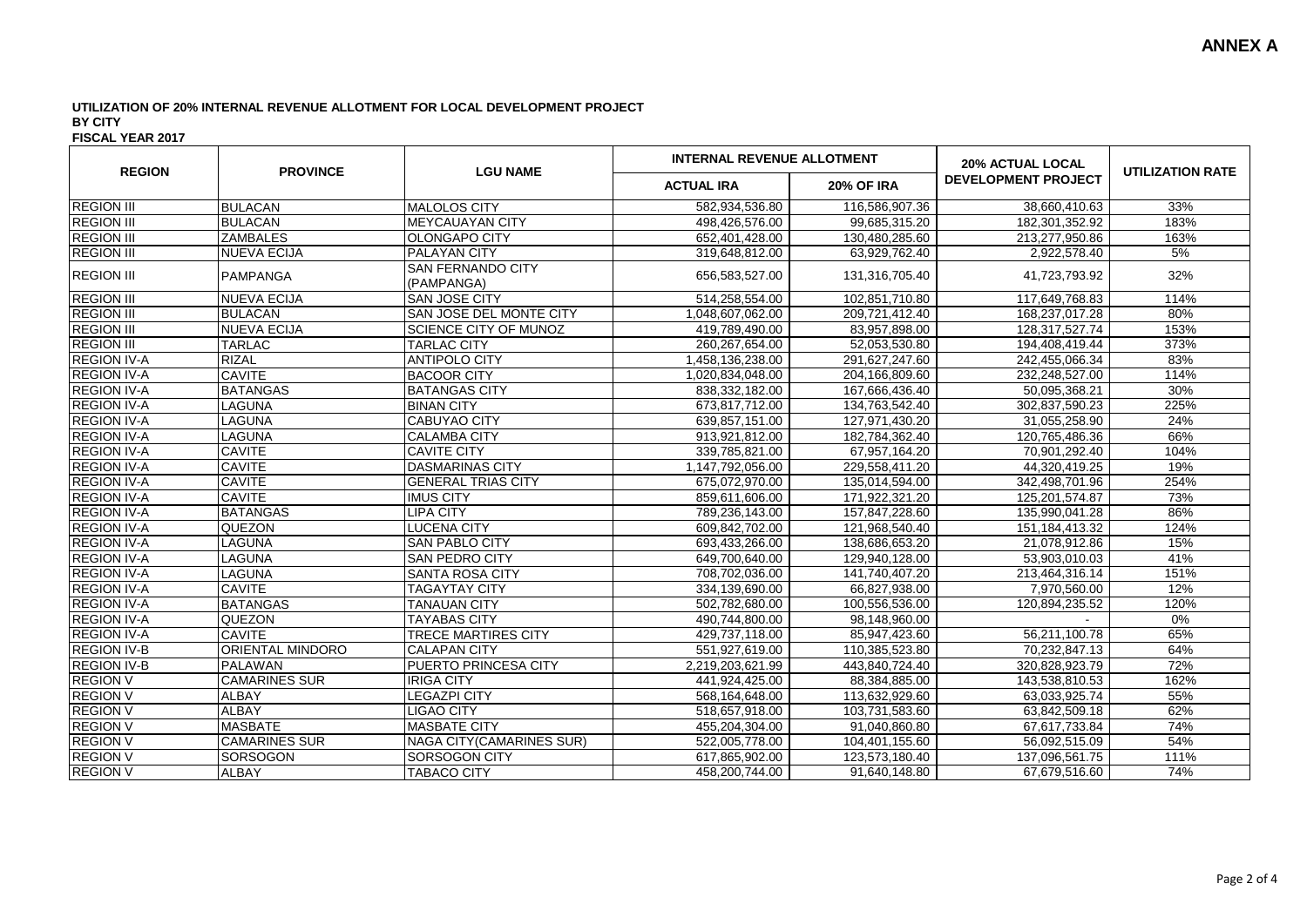| <b>REGION</b>      | <b>PROVINCE</b>      | <b>LGU NAME</b>                        | <b>INTERNAL REVENUE ALLOTMENT</b> |                   | <b>20% ACTUAL LOCAL</b>    |                         |
|--------------------|----------------------|----------------------------------------|-----------------------------------|-------------------|----------------------------|-------------------------|
|                    |                      |                                        | <b>ACTUAL IRA</b>                 | <b>20% OF IRA</b> | <b>DEVELOPMENT PROJECT</b> | <b>UTILIZATION RATE</b> |
| <b>REGION III</b>  | <b>BULACAN</b>       | <b>MALOLOS CITY</b>                    | 582,934,536.80                    | 116,586,907.36    | 38,660,410.63              | 33%                     |
| <b>REGION III</b>  | <b>BULACAN</b>       | <b>MEYCAUAYAN CITY</b>                 | 498,426,576.00                    | 99,685,315.20     | 182,301,352.92             | 183%                    |
| <b>REGION III</b>  | <b>ZAMBALES</b>      | <b>OLONGAPO CITY</b>                   | 652,401,428.00                    | 130,480,285.60    | 213,277,950.86             | 163%                    |
| <b>REGION III</b>  | <b>NUEVA ECIJA</b>   | <b>PALAYAN CITY</b>                    | 319,648,812.00                    | 63,929,762.40     | 2,922,578.40               | 5%                      |
| <b>REGION III</b>  | <b>PAMPANGA</b>      | <b>SAN FERNANDO CITY</b><br>(PAMPANGA) | 656,583,527.00                    | 131,316,705.40    | 41,723,793.92              | 32%                     |
| <b>REGION III</b>  | <b>NUEVA ECIJA</b>   | <b>SAN JOSE CITY</b>                   | 514,258,554.00                    | 102,851,710.80    | 117,649,768.83             | 114%                    |
| <b>REGION III</b>  | <b>BULACAN</b>       | SAN JOSE DEL MONTE CITY                | 1,048,607,062.00                  | 209,721,412.40    | 168,237,017.28             | 80%                     |
| <b>REGION III</b>  | <b>NUEVA ECIJA</b>   | SCIENCE CITY OF MUNOZ                  | 419,789,490.00                    | 83,957,898.00     | 128,317,527.74             | 153%                    |
| <b>REGION III</b>  | <b>TARLAC</b>        | <b>TARLAC CITY</b>                     | 260, 267, 654.00                  | 52,053,530.80     | 194,408,419.44             | 373%                    |
| <b>REGION IV-A</b> | <b>RIZAL</b>         | <b>ANTIPOLO CITY</b>                   | 1,458,136,238.00                  | 291,627,247.60    | 242,455,066.34             | 83%                     |
| <b>REGION IV-A</b> | <b>CAVITE</b>        | <b>BACOOR CITY</b>                     | 1.020.834.048.00                  | 204.166.809.60    | 232.248.527.00             | 114%                    |
| <b>REGION IV-A</b> | <b>BATANGAS</b>      | <b>BATANGAS CITY</b>                   | 838,332,182.00                    | 167,666,436.40    | 50,095,368.21              | 30%                     |
| <b>REGION IV-A</b> | LAGUNA               | <b>BINAN CITY</b>                      | 673,817,712.00                    | 134,763,542.40    | 302,837,590.23             | 225%                    |
| <b>REGION IV-A</b> | LAGUNA               | CABUYAO CITY                           | 639,857,151.00                    | 127,971,430.20    | 31,055,258.90              | 24%                     |
| <b>REGION IV-A</b> | LAGUNA               | <b>CALAMBA CITY</b>                    | 913,921,812.00                    | 182,784,362.40    | 120,765,486.36             | 66%                     |
| <b>REGION IV-A</b> | <b>CAVITE</b>        | <b>CAVITE CITY</b>                     | 339,785,821.00                    | 67,957,164.20     | 70,901,292.40              | 104%                    |
| <b>REGION IV-A</b> | <b>CAVITE</b>        | <b>DASMARINAS CITY</b>                 | 1,147,792,056.00                  | 229,558,411.20    | 44,320,419.25              | 19%                     |
| <b>REGION IV-A</b> | <b>CAVITE</b>        | <b>GENERAL TRIAS CITY</b>              | 675,072,970.00                    | 135,014,594.00    | 342,498,701.96             | 254%                    |
| <b>REGION IV-A</b> | <b>CAVITE</b>        | <b>IMUS CITY</b>                       | 859,611,606.00                    | 171,922,321.20    | 125,201,574.87             | 73%                     |
| <b>REGION IV-A</b> | <b>BATANGAS</b>      | <b>LIPA CITY</b>                       | 789,236,143.00                    | 157,847,228.60    | 135,990,041.28             | 86%                     |
| <b>REGION IV-A</b> | QUEZON               | <b>LUCENA CITY</b>                     | 609.842.702.00                    | 121.968.540.40    | 151.184.413.32             | 124%                    |
| <b>REGION IV-A</b> | LAGUNA               | <b>SAN PABLO CITY</b>                  | 693,433,266.00                    | 138,686,653.20    | 21,078,912.86              | 15%                     |
| <b>REGION IV-A</b> | <b>LAGUNA</b>        | <b>SAN PEDRO CITY</b>                  | 649,700,640.00                    | 129,940,128.00    | 53,903,010.03              | 41%                     |
| <b>REGION IV-A</b> | LAGUNA               | <b>SANTA ROSA CITY</b>                 | 708,702,036.00                    | 141,740,407.20    | 213,464,316.14             | 151%                    |
| <b>REGION IV-A</b> | <b>CAVITE</b>        | <b>TAGAYTAY CITY</b>                   | 334,139,690.00                    | 66,827,938.00     | 7,970,560.00               | 12%                     |
| <b>REGION IV-A</b> | <b>BATANGAS</b>      | <b>TANAUAN CITY</b>                    | 502,782,680.00                    | 100,556,536.00    | 120,894,235.52             | 120%                    |
| <b>REGION IV-A</b> | QUEZON               | <b>TAYABAS CITY</b>                    | 490,744,800.00                    | 98,148,960.00     |                            | 0%                      |
| <b>REGION IV-A</b> | <b>CAVITE</b>        | <b>TRECE MARTIRES CITY</b>             | 429,737,118.00                    | 85,947,423.60     | 56,211,100.78              | 65%                     |
| <b>REGION IV-B</b> | ORIENTAL MINDORO     | <b>CALAPAN CITY</b>                    | 551,927,619.00                    | 110,385,523.80    | 70,232,847.13              | 64%                     |
| <b>REGION IV-B</b> | <b>PALAWAN</b>       | PUERTO PRINCESA CITY                   | 2,219,203,621.99                  | 443,840,724.40    | 320,828,923.79             | 72%                     |
| <b>REGION V</b>    | <b>CAMARINES SUR</b> | <b>IRIGA CITY</b>                      | 441.924.425.00                    | 88,384,885.00     | 143,538,810.53             | 162%                    |
| <b>REGION V</b>    | <b>ALBAY</b>         | <b>LEGAZPI CITY</b>                    | 568, 164, 648.00                  | 113,632,929.60    | 63,033,925.74              | 55%                     |
| <b>REGION V</b>    | <b>ALBAY</b>         | <b>LIGAO CITY</b>                      | 518,657,918.00                    | 103,731,583.60    | 63,842,509.18              | 62%                     |
| <b>REGION V</b>    | <b>MASBATE</b>       | <b>MASBATE CITY</b>                    | 455,204,304.00                    | 91,040,860.80     | 67,617,733.84              | 74%                     |
| <b>REGION V</b>    | <b>CAMARINES SUR</b> | <b>NAGA CITY(CAMARINES SUR)</b>        | 522,005,778.00                    | 104,401,155.60    | 56,092,515.09              | 54%                     |
| <b>REGION V</b>    | SORSOGON             | <b>SORSOGON CITY</b>                   | 617,865,902.00                    | 123,573,180.40    | 137,096,561.75             | 111%                    |
| <b>REGION V</b>    | <b>ALBAY</b>         | <b>TABACO CITY</b>                     | 458.200.744.00                    | 91,640,148.80     | 67,679,516.60              | 74%                     |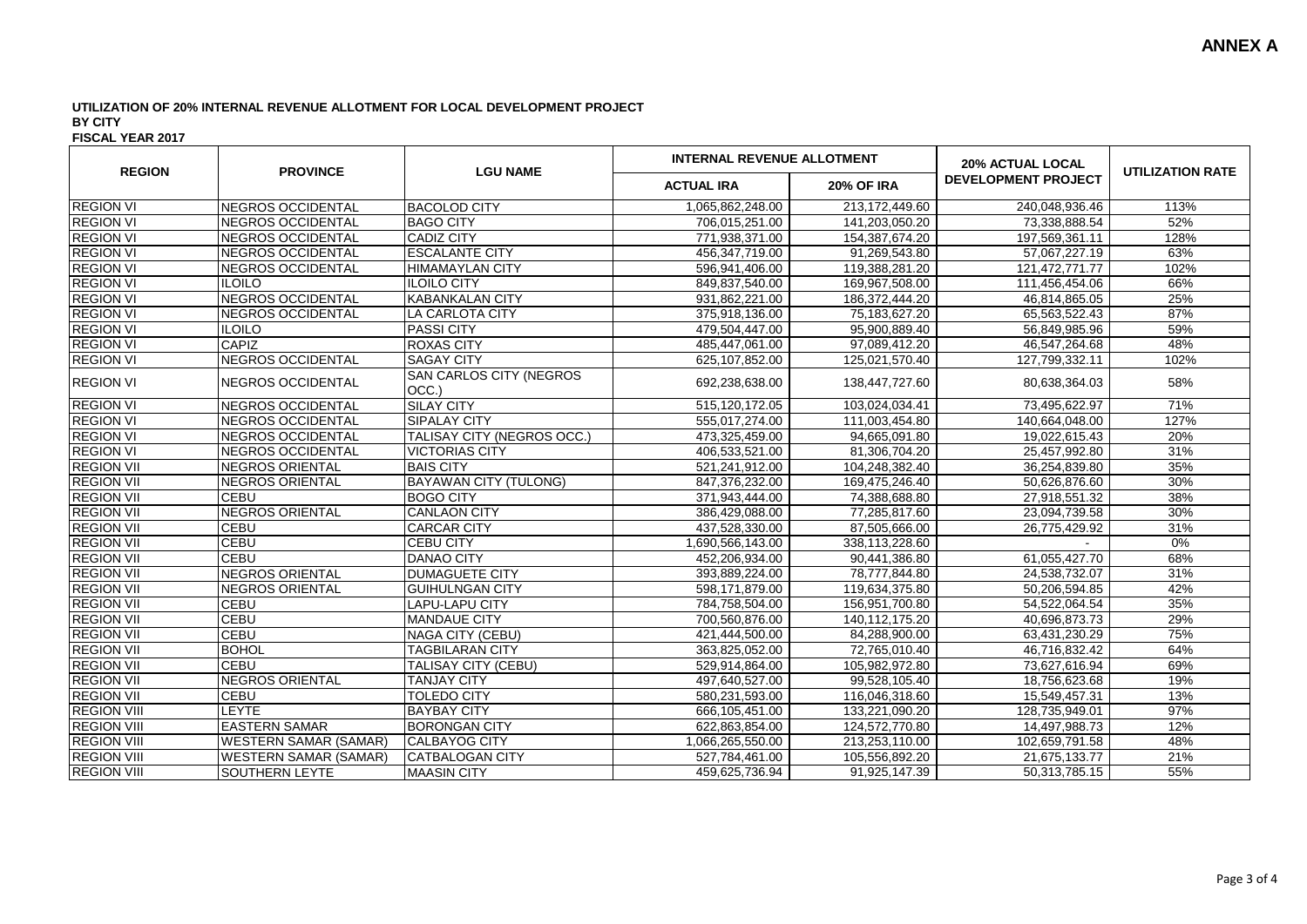| <b>REGION</b>      | <b>PROVINCE</b>              | <b>LGU NAME</b>                         | <b>INTERNAL REVENUE ALLOTMENT</b> |                   | <b>20% ACTUAL LOCAL</b>    |                         |
|--------------------|------------------------------|-----------------------------------------|-----------------------------------|-------------------|----------------------------|-------------------------|
|                    |                              |                                         | <b>ACTUAL IRA</b>                 | <b>20% OF IRA</b> | <b>DEVELOPMENT PROJECT</b> | <b>UTILIZATION RATE</b> |
| <b>REGION VI</b>   | NEGROS OCCIDENTAL            | <b>BACOLOD CITY</b>                     | 1,065,862,248.00                  | 213,172,449.60    | 240,048,936.46             | 113%                    |
| <b>REGION VI</b>   | <b>NEGROS OCCIDENTAL</b>     | <b>BAGO CITY</b>                        | 706,015,251.00                    | 141,203,050.20    | 73,338,888.54              | 52%                     |
| <b>REGION VI</b>   | <b>NEGROS OCCIDENTAL</b>     | <b>CADIZ CITY</b>                       | 771,938,371.00                    | 154, 387, 674. 20 | 197,569,361.11             | 128%                    |
| <b>REGION VI</b>   | NEGROS OCCIDENTAL            | <b>ESCALANTE CITY</b>                   | 456,347,719.00                    | 91,269,543.80     | 57,067,227.19              | 63%                     |
| <b>REGION VI</b>   | NEGROS OCCIDENTAL            | <b>HIMAMAYLAN CITY</b>                  | 596,941,406.00                    | 119,388,281.20    | 121,472,771.77             | 102%                    |
| <b>REGION VI</b>   | <b>ILOILO</b>                | <b>ILOILO CITY</b>                      | 849,837,540.00                    | 169,967,508.00    | 111,456,454.06             | 66%                     |
| <b>REGION VI</b>   | NEGROS OCCIDENTAL            | <b>KABANKALAN CITY</b>                  | 931,862,221.00                    | 186,372,444.20    | 46,814,865.05              | 25%                     |
| <b>REGION VI</b>   | INEGROS OCCIDENTAL           | <b>LA CARLOTA CITY</b>                  | 375,918,136.00                    | 75,183,627.20     | 65,563,522.43              | 87%                     |
| <b>REGION VI</b>   | <b>ILOILO</b>                | <b>PASSI CITY</b>                       | 479,504,447.00                    | 95,900,889.40     | 56,849,985.96              | 59%                     |
| <b>REGION VI</b>   | CAPIZ                        | <b>ROXAS CITY</b>                       | 485,447,061.00                    | 97,089,412.20     | 46,547,264.68              | 48%                     |
| <b>REGION VI</b>   | <b>NEGROS OCCIDENTAL</b>     | <b>SAGAY CITY</b>                       | 625,107,852.00                    | 125,021,570.40    | 127,799,332.11             | 102%                    |
| <b>REGION VI</b>   | NEGROS OCCIDENTAL            | <b>SAN CARLOS CITY (NEGROS</b><br>OCC.) | 692,238,638.00                    | 138,447,727.60    | 80,638,364.03              | 58%                     |
| <b>REGION VI</b>   | <b>NEGROS OCCIDENTAL</b>     | <b>SILAY CITY</b>                       | 515,120,172.05                    | 103,024,034.41    | 73,495,622.97              | 71%                     |
| <b>REGION VI</b>   | NEGROS OCCIDENTAL            | SIPALAY CITY                            | 555,017,274.00                    | 111,003,454.80    | 140,664,048.00             | 127%                    |
| <b>REGION VI</b>   | NEGROS OCCIDENTAL            | TALISAY CITY (NEGROS OCC.)              | 473,325,459.00                    | 94,665,091.80     | 19,022,615.43              | 20%                     |
| <b>REGION VI</b>   | NEGROS OCCIDENTAL            | <b>VICTORIAS CITY</b>                   | 406,533,521.00                    | 81,306,704.20     | 25,457,992.80              | 31%                     |
| <b>REGION VII</b>  | NEGROS ORIENTAL              | <b>BAIS CITY</b>                        | 521,241,912.00                    | 104,248,382.40    | 36,254,839.80              | 35%                     |
| <b>REGION VII</b>  | NEGROS ORIENTAL              | <b>BAYAWAN CITY (TULONG)</b>            | 847,376,232.00                    | 169,475,246.40    | 50,626,876.60              | 30%                     |
| <b>REGION VII</b>  | <b>CEBU</b>                  | <b>BOGO CITY</b>                        | 371,943,444.00                    | 74,388,688.80     | 27,918,551.32              | 38%                     |
| <b>REGION VII</b>  | NEGROS ORIENTAL              | <b>CANLAON CITY</b>                     | 386,429,088.00                    | 77,285,817.60     | 23,094,739.58              | 30%                     |
| <b>REGION VII</b>  | <b>CEBU</b>                  | <b>CARCAR CITY</b>                      | 437,528,330.00                    | 87,505,666.00     | 26,775,429.92              | 31%                     |
| <b>REGION VII</b>  | <b>CEBU</b>                  | <b>CEBU CITY</b>                        | 1,690,566,143.00                  | 338,113,228.60    |                            | $0\%$                   |
| <b>REGION VII</b>  | <b>CEBU</b>                  | <b>DANAO CITY</b>                       | 452,206,934.00                    | 90,441,386.80     | 61,055,427.70              | 68%                     |
| <b>REGION VII</b>  | <b>NEGROS ORIENTAL</b>       | <b>DUMAGUETE CITY</b>                   | 393,889,224.00                    | 78,777,844.80     | 24,538,732.07              | 31%                     |
| <b>REGION VII</b>  | NEGROS ORIENTAL              | <b>GUIHULNGAN CITY</b>                  | 598,171,879.00                    | 119,634,375.80    | 50,206,594.85              | 42%                     |
| <b>REGION VII</b>  | CEBU                         | <b>LAPU-LAPU CITY</b>                   | 784,758,504.00                    | 156,951,700.80    | 54,522,064.54              | 35%                     |
| <b>REGION VII</b>  | <b>CEBU</b>                  | <b>MANDAUE CITY</b>                     | 700,560,876.00                    | 140,112,175.20    | 40,696,873.73              | 29%                     |
| <b>REGION VII</b>  | CEBU                         | NAGA CITY (CEBU)                        | 421,444,500.00                    | 84,288,900.00     | 63,431,230.29              | 75%                     |
| <b>REGION VII</b>  | <b>BOHOL</b>                 | <b>TAGBILARAN CITY</b>                  | 363,825,052.00                    | 72,765,010.40     | 46,716,832.42              | 64%                     |
| <b>REGION VII</b>  | <b>CEBU</b>                  | TALISAY CITY (CEBU)                     | 529,914,864.00                    | 105,982,972.80    | 73,627,616.94              | 69%                     |
| <b>REGION VII</b>  | NEGROS ORIENTAL              | <b>TANJAY CITY</b>                      | 497,640,527.00                    | 99,528,105.40     | 18,756,623.68              | 19%                     |
| <b>REGION VII</b>  | <b>CEBU</b>                  | <b>TOLEDO CITY</b>                      | 580,231,593.00                    | 116,046,318.60    | 15,549,457.31              | 13%                     |
| <b>REGION VIII</b> | <b>LEYTE</b>                 | <b>BAYBAY CITY</b>                      | 666,105,451.00                    | 133,221,090.20    | 128,735,949.01             | 97%                     |
| <b>REGION VIII</b> | <b>EASTERN SAMAR</b>         | <b>BORONGAN CITY</b>                    | 622,863,854.00                    | 124,572,770.80    | 14,497,988.73              | 12%                     |
| <b>REGION VIII</b> | <b>WESTERN SAMAR (SAMAR)</b> | <b>CALBAYOG CITY</b>                    | 1,066,265,550.00                  | 213,253,110.00    | 102,659,791.58             | 48%                     |
| <b>REGION VIII</b> | <b>WESTERN SAMAR (SAMAR)</b> | <b>CATBALOGAN CITY</b>                  | 527,784,461.00                    | 105,556,892.20    | 21,675,133.77              | 21%                     |
| <b>REGION VIII</b> | <b>SOUTHERN LEYTE</b>        | <b>MAASIN CITY</b>                      | 459,625,736.94                    | 91,925,147.39     | 50,313,785.15              | 55%                     |